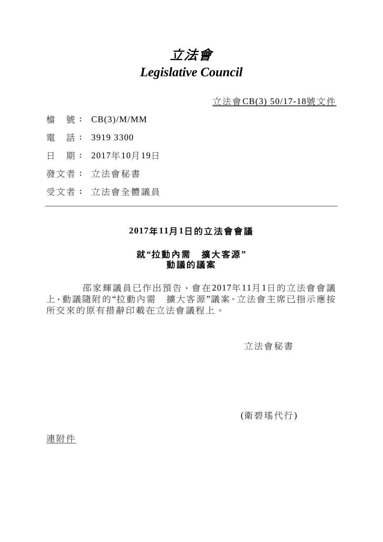# 立法會 *Legislative Council*

立法會CB(3) 50/17-18號文件

- 檔 號: CB(3)/M/MM
- 電 話: 3919 3300
- 日 期: 2017年10月19日
- 發文者: 立法會秘書
- 受文者: 立法會全體議員

## **2017**年**11**月**1**日的立法會會議

## 就**"**拉動內需 擴大客源**"** 動議的議案

邵家輝議員已作出預告,會在2017年11月1日的立法會會議 上,動議隨附的"拉動內需 擴大客源"議案。立法會主席已指示應按 所交來的原有措辭印載在立法會議程上。

#### 立法會秘書

(衛碧瑤代行)

連附件